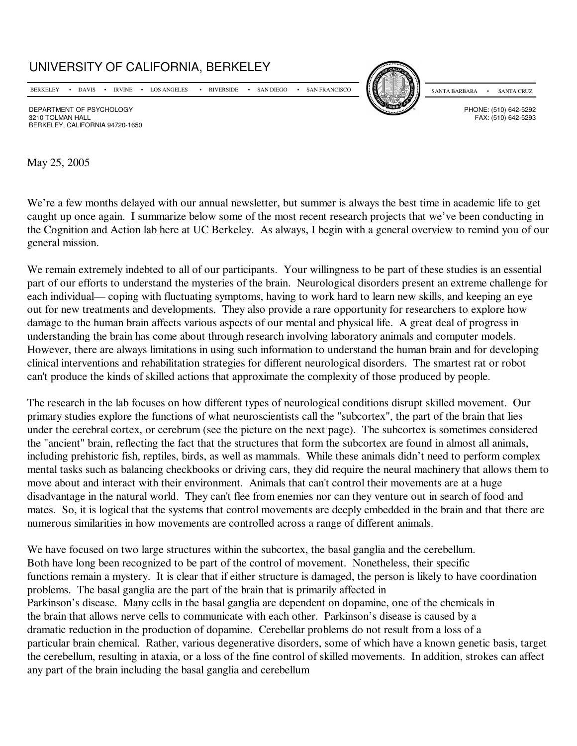## UNIVERSITY OF CALIFORNIA, BERKELEY

BERKELEY • DAVIS • IRVINE • LOS ANGELES • RIVERSIDE • SAN DIEGO • SAN FRANCISCO



SANTA BARBARA • SANTA CRUZ

FAX: (510) 642-5293

DEPARTMENT OF PSYCHOLOGY<br>3210 TOI MAN HAI I FAX: (510) 642-5292 BERKELEY, CALIFORNIA 94720-1650

May 25, 2005

We're a few months delayed with our annual newsletter, but summer is always the best time in academic life to get caught up once again. I summarize below some of the most recent research projects that we've been conducting in the Cognition and Action lab here at UC Berkeley. As always, I begin with a general overview to remind you of our general mission.

We remain extremely indebted to all of our participants. Your willingness to be part of these studies is an essential part of our efforts to understand the mysteries of the brain. Neurological disorders present an extreme challenge for each individual— coping with fluctuating symptoms, having to work hard to learn new skills, and keeping an eye out for new treatments and developments. They also provide a rare opportunity for researchers to explore how damage to the human brain affects various aspects of our mental and physical life. A great deal of progress in understanding the brain has come about through research involving laboratory animals and computer models. However, there are always limitations in using such information to understand the human brain and for developing clinical interventions and rehabilitation strategies for different neurological disorders. The smartest rat or robot can't produce the kinds of skilled actions that approximate the complexity of those produced by people.

The research in the lab focuses on how different types of neurological conditions disrupt skilled movement. Our primary studies explore the functions of what neuroscientists call the "subcortex", the part of the brain that lies under the cerebral cortex, or cerebrum (see the picture on the next page). The subcortex is sometimes considered the "ancient" brain, reflecting the fact that the structures that form the subcortex are found in almost all animals, including prehistoric fish, reptiles, birds, as well as mammals. While these animals didn't need to perform complex mental tasks such as balancing checkbooks or driving cars, they did require the neural machinery that allows them to move about and interact with their environment. Animals that can't control their movements are at a huge disadvantage in the natural world. They can't flee from enemies nor can they venture out in search of food and mates. So, it is logical that the systems that control movements are deeply embedded in the brain and that there are numerous similarities in how movements are controlled across a range of different animals.

We have focused on two large structures within the subcortex, the basal ganglia and the cerebellum. Both have long been recognized to be part of the control of movement. Nonetheless, their specific functions remain a mystery. It is clear that if either structure is damaged, the person is likely to have coordination problems. The basal ganglia are the part of the brain that is primarily affected in Parkinson's disease. Many cells in the basal ganglia are dependent on dopamine, one of the chemicals in the brain that allows nerve cells to communicate with each other. Parkinson's disease is caused by a dramatic reduction in the production of dopamine. Cerebellar problems do not result from a loss of a particular brain chemical. Rather, various degenerative disorders, some of which have a known genetic basis, target the cerebellum, resulting in ataxia, or a loss of the fine control of skilled movements. In addition, strokes can affect any part of the brain including the basal ganglia and cerebellum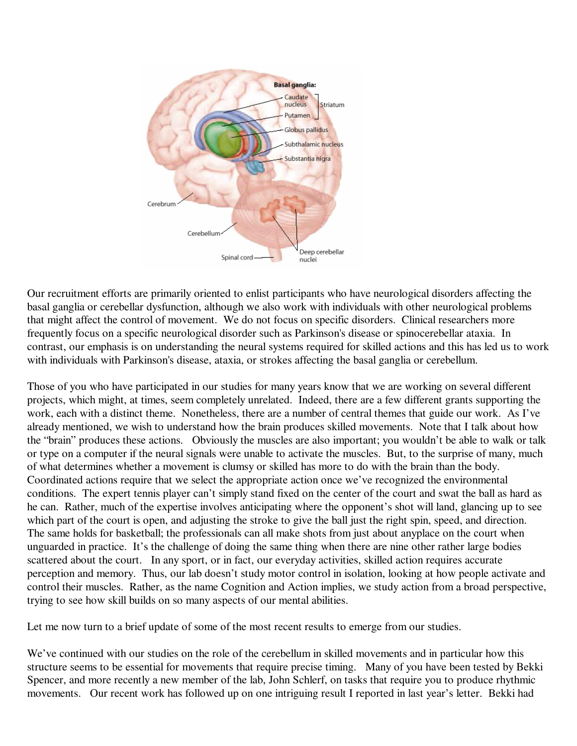

Our recruitment efforts are primarily oriented to enlist participants who have neurological disorders affecting the basal ganglia or cerebellar dysfunction, although we also work with individuals with other neurological problems that might affect the control of movement. We do not focus on specific disorders. Clinical researchers more frequently focus on a specific neurological disorder such as Parkinson's disease or spinocerebellar ataxia. In contrast, our emphasis is on understanding the neural systems required for skilled actions and this has led us to work with individuals with Parkinson's disease, ataxia, or strokes affecting the basal ganglia or cerebellum.

Those of you who have participated in our studies for many years know that we are working on several different projects, which might, at times, seem completely unrelated. Indeed, there are a few different grants supporting the work, each with a distinct theme. Nonetheless, there are a number of central themes that guide our work. As I've already mentioned, we wish to understand how the brain produces skilled movements. Note that I talk about how the "brain" produces these actions. Obviously the muscles are also important; you wouldn't be able to walk or talk or type on a computer if the neural signals were unable to activate the muscles. But, to the surprise of many, much of what determines whether a movement is clumsy or skilled has more to do with the brain than the body. Coordinated actions require that we select the appropriate action once we've recognized the environmental conditions. The expert tennis player can't simply stand fixed on the center of the court and swat the ball as hard as he can. Rather, much of the expertise involves anticipating where the opponent's shot will land, glancing up to see which part of the court is open, and adjusting the stroke to give the ball just the right spin, speed, and direction. The same holds for basketball; the professionals can all make shots from just about anyplace on the court when unguarded in practice. It's the challenge of doing the same thing when there are nine other rather large bodies scattered about the court. In any sport, or in fact, our everyday activities, skilled action requires accurate perception and memory. Thus, our lab doesn't study motor control in isolation, looking at how people activate and control their muscles. Rather, as the name Cognition and Action implies, we study action from a broad perspective, trying to see how skill builds on so many aspects of our mental abilities.

Let me now turn to a brief update of some of the most recent results to emerge from our studies.

We've continued with our studies on the role of the cerebellum in skilled movements and in particular how this structure seems to be essential for movements that require precise timing. Many of you have been tested by Bekki Spencer, and more recently a new member of the lab, John Schlerf, on tasks that require you to produce rhythmic movements. Our recent work has followed up on one intriguing result I reported in last year's letter. Bekki had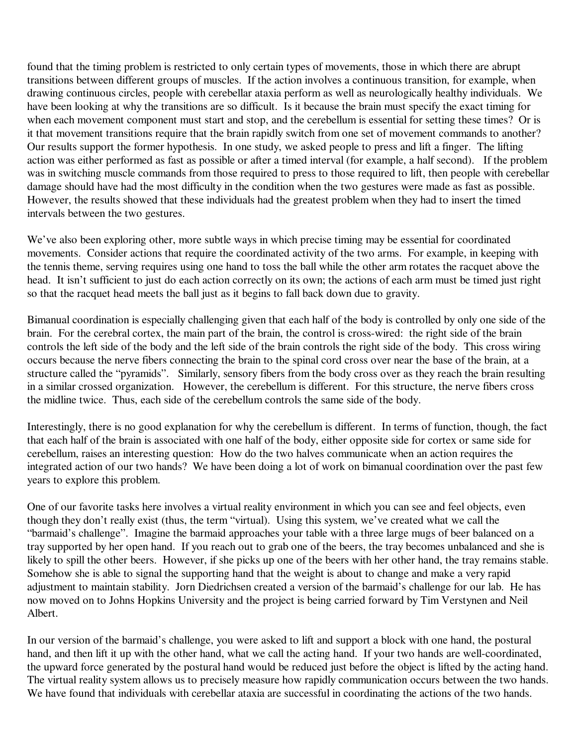found that the timing problem is restricted to only certain types of movements, those in which there are abrupt transitions between different groups of muscles. If the action involves a continuous transition, for example, when drawing continuous circles, people with cerebellar ataxia perform as well as neurologically healthy individuals. We have been looking at why the transitions are so difficult. Is it because the brain must specify the exact timing for when each movement component must start and stop, and the cerebellum is essential for setting these times? Or is it that movement transitions require that the brain rapidly switch from one set of movement commands to another? Our results support the former hypothesis. In one study, we asked people to press and lift a finger. The lifting action was either performed as fast as possible or after a timed interval (for example, a half second). If the problem was in switching muscle commands from those required to press to those required to lift, then people with cerebellar damage should have had the most difficulty in the condition when the two gestures were made as fast as possible. However, the results showed that these individuals had the greatest problem when they had to insert the timed intervals between the two gestures.

We've also been exploring other, more subtle ways in which precise timing may be essential for coordinated movements. Consider actions that require the coordinated activity of the two arms. For example, in keeping with the tennis theme, serving requires using one hand to toss the ball while the other arm rotates the racquet above the head. It isn't sufficient to just do each action correctly on its own; the actions of each arm must be timed just right so that the racquet head meets the ball just as it begins to fall back down due to gravity.

Bimanual coordination is especially challenging given that each half of the body is controlled by only one side of the brain. For the cerebral cortex, the main part of the brain, the control is cross-wired: the right side of the brain controls the left side of the body and the left side of the brain controls the right side of the body. This cross wiring occurs because the nerve fibers connecting the brain to the spinal cord cross over near the base of the brain, at a structure called the "pyramids". Similarly, sensory fibers from the body cross over as they reach the brain resulting in a similar crossed organization. However, the cerebellum is different. For this structure, the nerve fibers cross the midline twice. Thus, each side of the cerebellum controls the same side of the body.

Interestingly, there is no good explanation for why the cerebellum is different. In terms of function, though, the fact that each half of the brain is associated with one half of the body, either opposite side for cortex or same side for cerebellum, raises an interesting question: How do the two halves communicate when an action requires the integrated action of our two hands? We have been doing a lot of work on bimanual coordination over the past few years to explore this problem.

One of our favorite tasks here involves a virtual reality environment in which you can see and feel objects, even though they don't really exist (thus, the term "virtual). Using this system, we've created what we call the "barmaid's challenge". Imagine the barmaid approaches your table with a three large mugs of beer balanced on a tray supported by her open hand. If you reach out to grab one of the beers, the tray becomes unbalanced and she is likely to spill the other beers. However, if she picks up one of the beers with her other hand, the tray remains stable. Somehow she is able to signal the supporting hand that the weight is about to change and make a very rapid adjustment to maintain stability. Jorn Diedrichsen created a version of the barmaid's challenge for our lab. He has now moved on to Johns Hopkins University and the project is being carried forward by Tim Verstynen and Neil Albert.

In our version of the barmaid's challenge, you were asked to lift and support a block with one hand, the postural hand, and then lift it up with the other hand, what we call the acting hand. If your two hands are well-coordinated, the upward force generated by the postural hand would be reduced just before the object is lifted by the acting hand. The virtual reality system allows us to precisely measure how rapidly communication occurs between the two hands. We have found that individuals with cerebellar ataxia are successful in coordinating the actions of the two hands.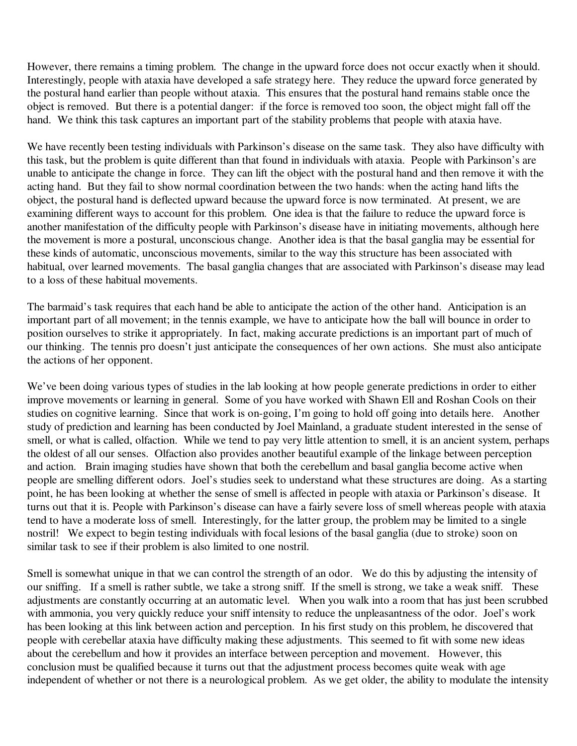However, there remains a timing problem. The change in the upward force does not occur exactly when it should. Interestingly, people with ataxia have developed a safe strategy here. They reduce the upward force generated by the postural hand earlier than people without ataxia. This ensures that the postural hand remains stable once the object is removed. But there is a potential danger: if the force is removed too soon, the object might fall off the hand. We think this task captures an important part of the stability problems that people with ataxia have.

We have recently been testing individuals with Parkinson's disease on the same task. They also have difficulty with this task, but the problem is quite different than that found in individuals with ataxia. People with Parkinson's are unable to anticipate the change in force. They can lift the object with the postural hand and then remove it with the acting hand. But they fail to show normal coordination between the two hands: when the acting hand lifts the object, the postural hand is deflected upward because the upward force is now terminated. At present, we are examining different ways to account for this problem. One idea is that the failure to reduce the upward force is another manifestation of the difficulty people with Parkinson's disease have in initiating movements, although here the movement is more a postural, unconscious change. Another idea is that the basal ganglia may be essential for these kinds of automatic, unconscious movements, similar to the way this structure has been associated with habitual, over learned movements. The basal ganglia changes that are associated with Parkinson's disease may lead to a loss of these habitual movements.

The barmaid's task requires that each hand be able to anticipate the action of the other hand. Anticipation is an important part of all movement; in the tennis example, we have to anticipate how the ball will bounce in order to position ourselves to strike it appropriately. In fact, making accurate predictions is an important part of much of our thinking. The tennis pro doesn't just anticipate the consequences of her own actions. She must also anticipate the actions of her opponent.

We've been doing various types of studies in the lab looking at how people generate predictions in order to either improve movements or learning in general. Some of you have worked with Shawn Ell and Roshan Cools on their studies on cognitive learning. Since that work is on-going, I'm going to hold off going into details here. Another study of prediction and learning has been conducted by Joel Mainland, a graduate student interested in the sense of smell, or what is called, olfaction. While we tend to pay very little attention to smell, it is an ancient system, perhaps the oldest of all our senses. Olfaction also provides another beautiful example of the linkage between perception and action. Brain imaging studies have shown that both the cerebellum and basal ganglia become active when people are smelling different odors. Joel's studies seek to understand what these structures are doing. As a starting point, he has been looking at whether the sense of smell is affected in people with ataxia or Parkinson's disease. It turns out that it is. People with Parkinson's disease can have a fairly severe loss of smell whereas people with ataxia tend to have a moderate loss of smell. Interestingly, for the latter group, the problem may be limited to a single nostril! We expect to begin testing individuals with focal lesions of the basal ganglia (due to stroke) soon on similar task to see if their problem is also limited to one nostril.

Smell is somewhat unique in that we can control the strength of an odor. We do this by adjusting the intensity of our sniffing. If a smell is rather subtle, we take a strong sniff. If the smell is strong, we take a weak sniff. These adjustments are constantly occurring at an automatic level. When you walk into a room that has just been scrubbed with ammonia, you very quickly reduce your sniff intensity to reduce the unpleasantness of the odor. Joel's work has been looking at this link between action and perception. In his first study on this problem, he discovered that people with cerebellar ataxia have difficulty making these adjustments. This seemed to fit with some new ideas about the cerebellum and how it provides an interface between perception and movement. However, this conclusion must be qualified because it turns out that the adjustment process becomes quite weak with age independent of whether or not there is a neurological problem. As we get older, the ability to modulate the intensity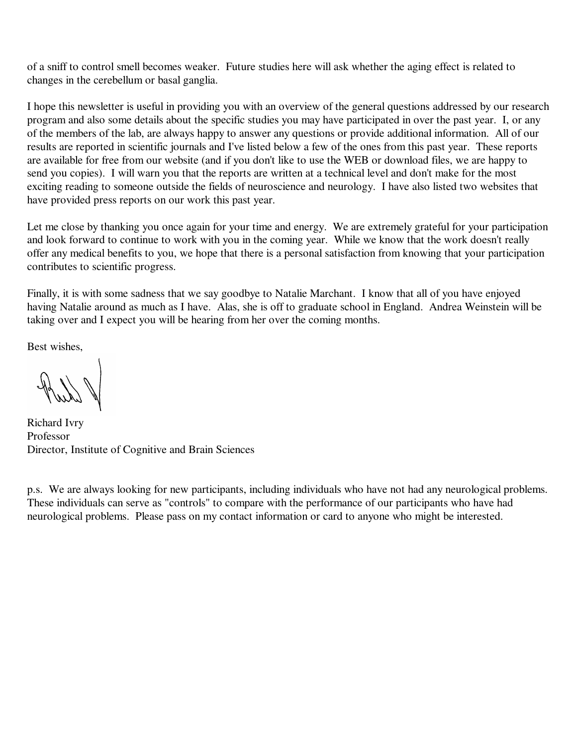of a sniff to control smell becomes weaker. Future studies here will ask whether the aging effect is related to changes in the cerebellum or basal ganglia.

I hope this newsletter is useful in providing you with an overview of the general questions addressed by our research program and also some details about the specific studies you may have participated in over the past year. I, or any of the members of the lab, are always happy to answer any questions or provide additional information. All of our results are reported in scientific journals and I've listed below a few of the ones from this past year. These reports are available for free from our website (and if you don't like to use the WEB or download files, we are happy to send you copies). I will warn you that the reports are written at a technical level and don't make for the most exciting reading to someone outside the fields of neuroscience and neurology. I have also listed two websites that have provided press reports on our work this past year.

Let me close by thanking you once again for your time and energy. We are extremely grateful for your participation and look forward to continue to work with you in the coming year. While we know that the work doesn't really offer any medical benefits to you, we hope that there is a personal satisfaction from knowing that your participation contributes to scientific progress.

Finally, it is with some sadness that we say goodbye to Natalie Marchant. I know that all of you have enjoyed having Natalie around as much as I have. Alas, she is off to graduate school in England. Andrea Weinstein will be taking over and I expect you will be hearing from her over the coming months.

Best wishes,

Richard Ivry Professor Director, Institute of Cognitive and Brain Sciences

p.s. We are always looking for new participants, including individuals who have not had any neurological problems. These individuals can serve as "controls" to compare with the performance of our participants who have had neurological problems. Please pass on my contact information or card to anyone who might be interested.